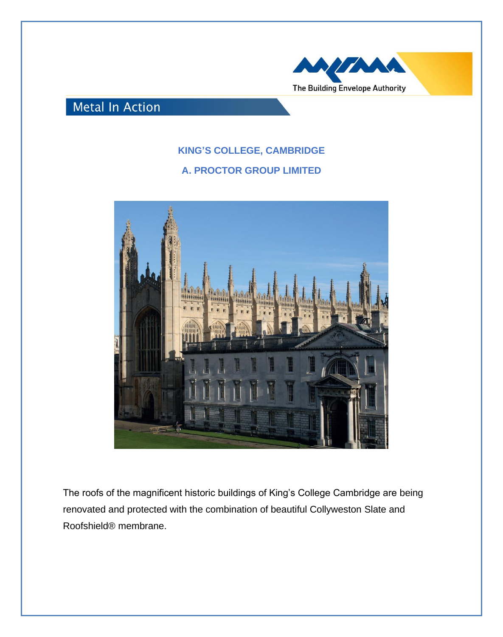

## **Metal In Action**

## **KING'S COLLEGE, CAMBRIDGE**

## **A. PROCTOR GROUP LIMITED**



The roofs of the magnificent historic buildings of King's College Cambridge are being renovated and protected with the combination of beautiful Collyweston Slate and Roofshield® membrane.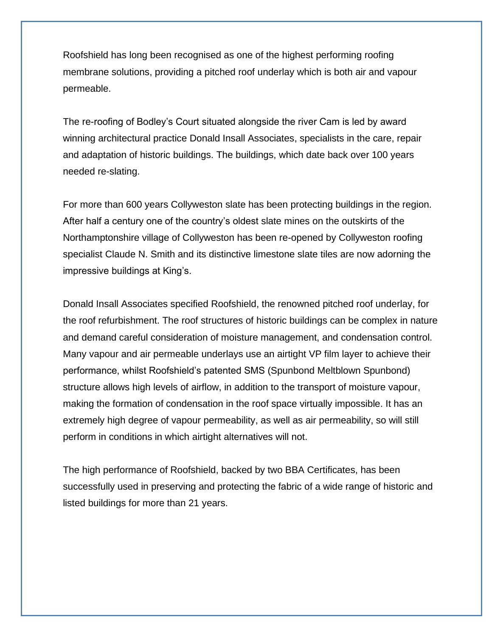Roofshield has long been recognised as one of the highest performing roofing membrane solutions, providing a pitched roof underlay which is both air and vapour permeable.

The re-roofing of Bodley's Court situated alongside the river Cam is led by award winning architectural practice Donald Insall Associates, specialists in the care, repair and adaptation of historic buildings. The buildings, which date back over 100 years needed re-slating.

For more than 600 years Collyweston slate has been protecting buildings in the region. After half a century one of the country's oldest slate mines on the outskirts of the Northamptonshire village of Collyweston has been re-opened by Collyweston roofing specialist Claude N. Smith and its distinctive limestone slate tiles are now adorning the impressive buildings at King's.

Donald Insall Associates specified Roofshield, the renowned pitched roof underlay, for the roof refurbishment. The roof structures of historic buildings can be complex in nature and demand careful consideration of moisture management, and condensation control. Many vapour and air permeable underlays use an airtight VP film layer to achieve their performance, whilst Roofshield's patented SMS (Spunbond Meltblown Spunbond) structure allows high levels of airflow, in addition to the transport of moisture vapour, making the formation of condensation in the roof space virtually impossible. It has an extremely high degree of vapour permeability, as well as air permeability, so will still perform in conditions in which airtight alternatives will not.

The high performance of Roofshield, backed by two BBA Certificates, has been successfully used in preserving and protecting the fabric of a wide range of historic and listed buildings for more than 21 years.